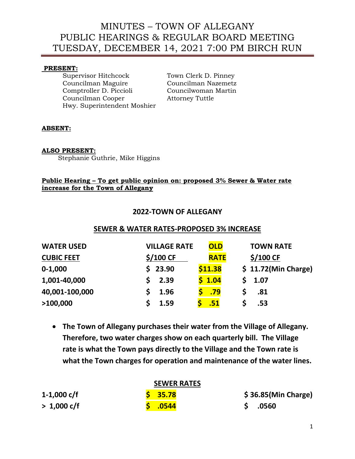# MINUTES – TOWN OF ALLEGANY PUBLIC HEARINGS & REGULAR BOARD MEETING TUESDAY, DECEMBER 14, 2021 7:00 PM BIRCH RUN

#### **PRESENT:**

Supervisor Hitchcock Town Clerk D. Pinney Councilman Maguire Councilman Nazemetz Comptroller D. Piccioli Councilwoman Martin Councilman Cooper Attorney Tuttle Hwy. Superintendent Moshier

## **ABSENT:**

## **ALSO PRESENT:**

Stephanie Guthrie, Mike Higgins

## **Public Hearing – To get public opinion on: proposed 3% Sewer & Water rate increase for the Town of Allegany**

# **2022-TOWN OF ALLEGANY**

# **SEWER & WATER RATES-PROPOSED 3% INCREASE**

| <b>WATER USED</b> | <b>VILLAGE RATE</b> | <b>OLD</b>  | <b>TOWN RATE</b>      |
|-------------------|---------------------|-------------|-----------------------|
| <b>CUBIC FEET</b> | \$/100 CF           | <b>RATE</b> | \$/100 CF             |
| $0 - 1,000$       | \$23.90             | \$11.38     | $$11.72$ (Min Charge) |
| 1,001-40,000      | 2.39                | \$1.04      | 1.07                  |
| 40,001-100,000    | 1.96                | .79         | .81                   |
| >100,000          | 1.59                | .51         | .53                   |

• **The Town of Allegany purchases their water from the Village of Allegany. Therefore, two water charges show on each quarterly bill. The Village rate is what the Town pays directly to the Village and the Town rate is what the Town charges for operation and maintenance of the water lines.** 

| <b>SEWER RATES</b>    |           |                       |  |  |  |
|-----------------------|-----------|-----------------------|--|--|--|
| 1-1,000 $c/f$         | $S$ 35.78 | $$36.85$ (Min Charge) |  |  |  |
| $> 1,000 \text{ c/f}$ | .0544     | .0560                 |  |  |  |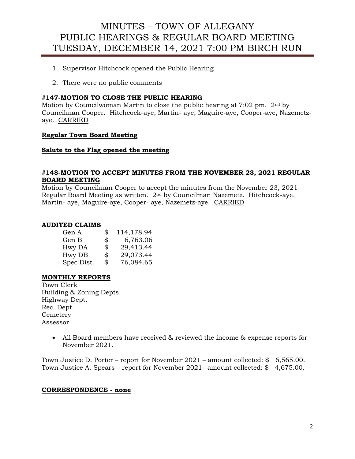# MINUTES – TOWN OF ALLEGANY PUBLIC HEARINGS & REGULAR BOARD MEETING TUESDAY, DECEMBER 14, 2021 7:00 PM BIRCH RUN

- 1. Supervisor Hitchcock opened the Public Hearing
- 2. There were no public comments

#### **#147-MOTION TO CLOSE THE PUBLIC HEARING**

Motion by Councilwoman Martin to close the public hearing at 7:02 pm. 2nd by Councilman Cooper. Hitchcock-aye, Martin- aye, Maguire-aye, Cooper-aye, Nazemetzaye. CARRIED

#### **Regular Town Board Meeting**

#### **Salute to the Flag opened the meeting**

#### **#148-MOTION TO ACCEPT MINUTES FROM THE NOVEMBER 23, 2021 REGULAR BOARD MEETING**

Motion by Councilman Cooper to accept the minutes from the November 23, 2021 Regular Board Meeting as written. 2nd by Councilman Nazemetz. Hitchcock-aye, Martin- aye, Maguire-aye, Cooper- aye, Nazemetz-aye. CARRIED

#### **AUDITED CLAIMS**

| \$             | 114,178.94 |
|----------------|------------|
| \$             | 6,763.06   |
| \$             | 29,413.44  |
| \$             | 29,073.44  |
| $\mathfrak{P}$ | 76,084.65  |
|                |            |

#### **MONTHLY REPORTS**

Town Clerk Building & Zoning Depts. Highway Dept. Rec. Dept. Cemetery Assessor

> • All Board members have received & reviewed the income & expense reports for November 2021.

Town Justice D. Porter – report for November 2021 – amount collected: \$ 6,565.00. Town Justice A. Spears – report for November 2021– amount collected: \$ 4,675.00.

#### **CORRESPONDENCE - none**